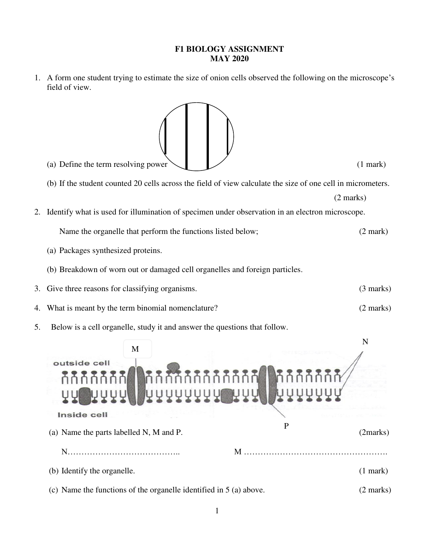## **F1 BIOLOGY ASSIGNMENT MAY 2020**

1. A form one student trying to estimate the size of onion cells observed the following on the microscope's field of view.

|    | (a) Define the term resolving power                                                                                                | $(1$ mark $)$       |
|----|------------------------------------------------------------------------------------------------------------------------------------|---------------------|
|    | (b) If the student counted 20 cells across the field of view calculate the size of one cell in micrometers.<br>$(2 \text{ marks})$ |                     |
| 2. | Identify what is used for illumination of specimen under observation in an electron microscope.                                    |                     |
|    | Name the organelle that perform the functions listed below;                                                                        | $(2$ mark $)$       |
|    | (a) Packages synthesized proteins.                                                                                                 |                     |
|    | (b) Breakdown of worn out or damaged cell organelles and foreign particles.                                                        |                     |
| 3. | Give three reasons for classifying organisms.                                                                                      | $(3 \text{ marks})$ |
| 4. | What is meant by the term binomial nomenclature?                                                                                   | $(2 \text{ marks})$ |
| 5. | Below is a cell organelle, study it and answer the questions that follow.                                                          |                     |
|    | M<br>outside cell<br>Inside cell                                                                                                   | N                   |
|    | $\mathbf{P}$<br>(a) Name the parts labelled N, M and P.                                                                            | (2marks)            |
|    |                                                                                                                                    |                     |
|    | (b) Identify the organelle.                                                                                                        | $(1$ mark $)$       |
|    | (c) Name the functions of the organelle identified in 5 (a) above.                                                                 | $(2 \text{ marks})$ |